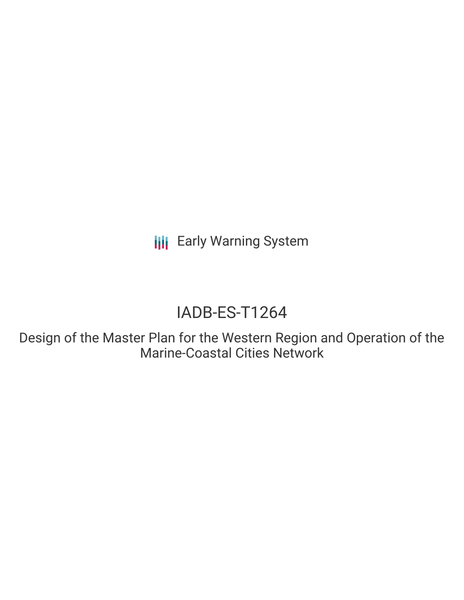**III** Early Warning System

# IADB-ES-T1264

Design of the Master Plan for the Western Region and Operation of the Marine-Coastal Cities Network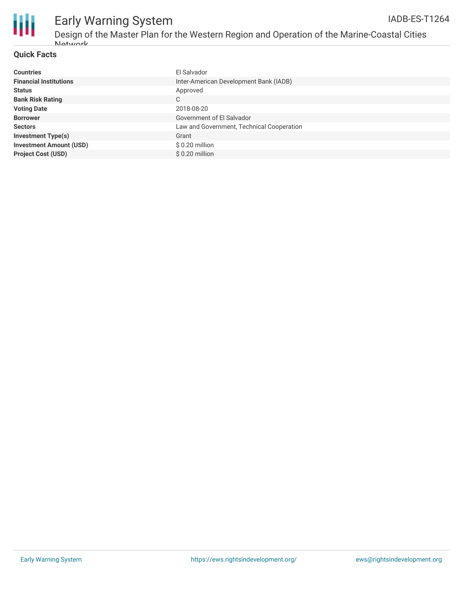

# Early Warning System

Design of the Master Plan for the Western Region and Operation of the Marine-Coastal Cities Network

#### **Quick Facts**

| <b>Countries</b>               | El Salvador                               |
|--------------------------------|-------------------------------------------|
| <b>Financial Institutions</b>  | Inter-American Development Bank (IADB)    |
| <b>Status</b>                  | Approved                                  |
| <b>Bank Risk Rating</b>        | C                                         |
| <b>Voting Date</b>             | 2018-08-20                                |
| <b>Borrower</b>                | Government of El Salvador                 |
| <b>Sectors</b>                 | Law and Government, Technical Cooperation |
| <b>Investment Type(s)</b>      | Grant                                     |
| <b>Investment Amount (USD)</b> | $$0.20$ million                           |
| <b>Project Cost (USD)</b>      | \$ 0.20 million                           |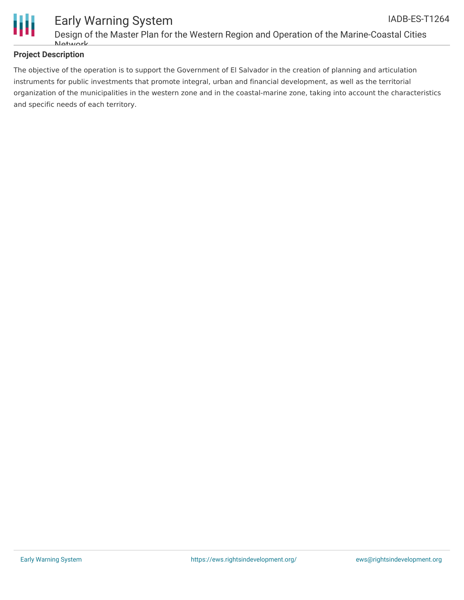

#### **Project Description**

The objective of the operation is to support the Government of El Salvador in the creation of planning and articulation instruments for public investments that promote integral, urban and financial development, as well as the territorial organization of the municipalities in the western zone and in the coastal-marine zone, taking into account the characteristics and specific needs of each territory.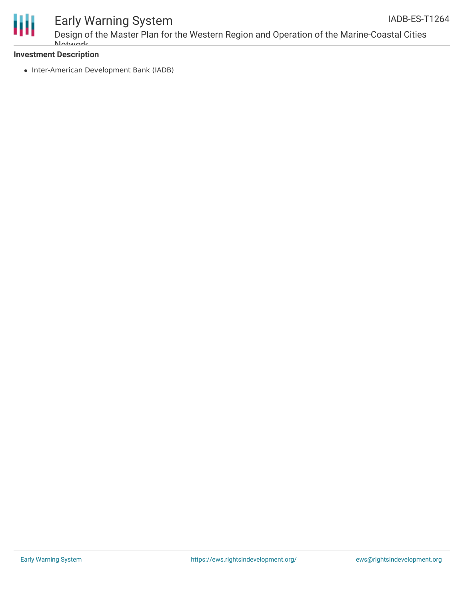

## Early Warning System

#### **Investment Description**

• Inter-American Development Bank (IADB)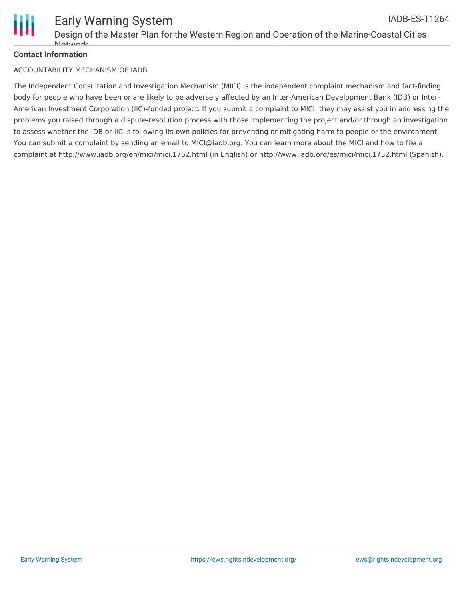

#### **Contact Information**

#### ACCOUNTABILITY MECHANISM OF IADB

The Independent Consultation and Investigation Mechanism (MICI) is the independent complaint mechanism and fact-finding body for people who have been or are likely to be adversely affected by an Inter-American Development Bank (IDB) or Inter-American Investment Corporation (IIC)-funded project. If you submit a complaint to MICI, they may assist you in addressing the problems you raised through a dispute-resolution process with those implementing the project and/or through an investigation to assess whether the IDB or IIC is following its own policies for preventing or mitigating harm to people or the environment. You can submit a complaint by sending an email to MICI@iadb.org. You can learn more about the MICI and how to file a complaint at http://www.iadb.org/en/mici/mici,1752.html (in English) or http://www.iadb.org/es/mici/mici,1752.html (Spanish).